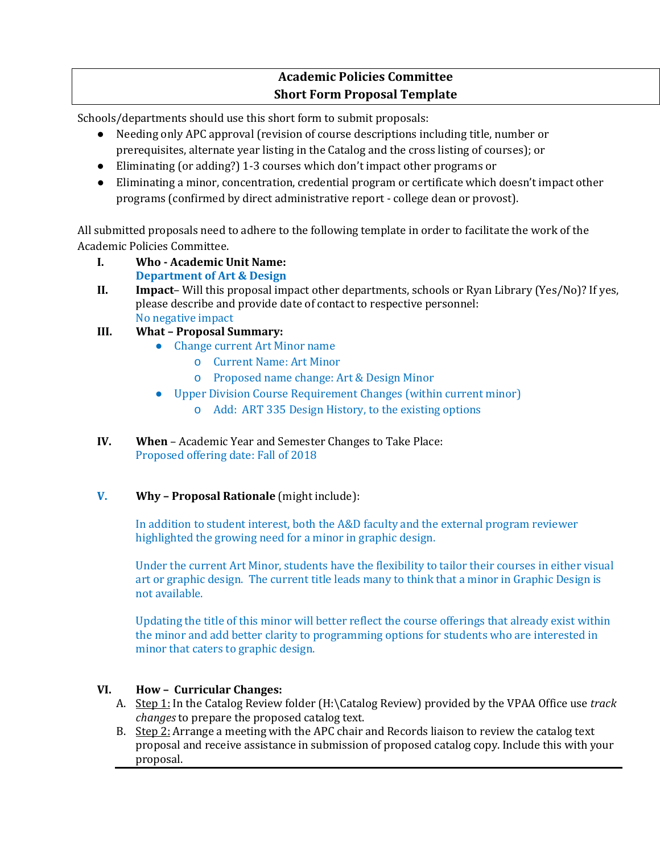## **Academic Policies Committee Short Form Proposal Template**

Schools/departments should use this short form to submit proposals:

- Needing only APC approval (revision of course descriptions including title, number or prerequisites, alternate year listing in the Catalog and the cross listing of courses); or
- Eliminating (or adding?) 1-3 courses which don't impact other programs or
- Eliminating a minor, concentration, credential program or certificate which doesn't impact other programs (confirmed by direct administrative report - college dean or provost).

All submitted proposals need to adhere to the following template in order to facilitate the work of the Academic Policies Committee.

- **I. Who - Academic Unit Name: Department of Art & Design**
- **II. Impact** Will this proposal impact other departments, schools or Ryan Library (Yes/No)? If yes, please describe and provide date of contact to respective personnel: No negative impact
- **III. What – Proposal Summary:** 
	- Change current Art Minor name
		- o Current Name: Art Minor
		- o Proposed name change: Art & Design Minor
	- Upper Division Course Requirement Changes (within current minor)
		- o Add: ART 335 Design History, to the existing options
- **IV. When**  Academic Year and Semester Changes to Take Place: Proposed offering date: Fall of 2018
- **V. Why – Proposal Rationale** (might include):

In addition to student interest, both the A&D faculty and the external program reviewer highlighted the growing need for a minor in graphic design.

Under the current Art Minor, students have the flexibility to tailor their courses in either visual art or graphic design. The current title leads many to think that a minor in Graphic Design is not available.

Updating the title of this minor will better reflect the course offerings that already exist within the minor and add better clarity to programming options for students who are interested in minor that caters to graphic design.

## **VI. How – Curricular Changes:**

- A. Step 1: In the Catalog Review folder (H:\Catalog Review) provided by the VPAA Office use *track changes* to prepare the proposed catalog text.
- B. Step 2: Arrange a meeting with the APC chair and Records liaison to review the catalog text proposal and receive assistance in submission of proposed catalog copy. Include this with your proposal.